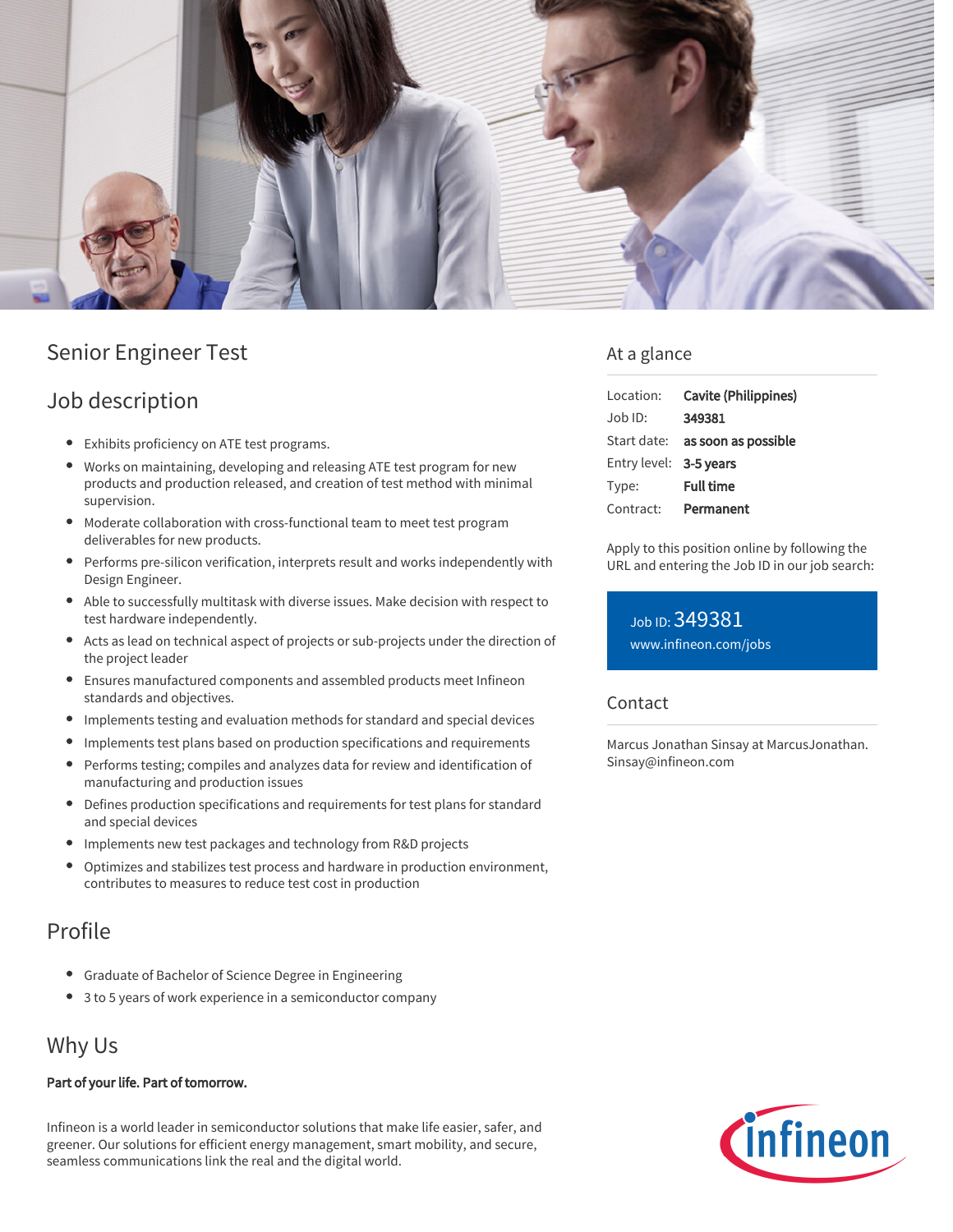

# Senior Engineer Test

### Job description

- Exhibits proficiency on ATE test programs.
- Works on maintaining, developing and releasing ATE test program for new products and production released, and creation of test method with minimal supervision.
- Moderate collaboration with cross-functional team to meet test program deliverables for new products.
- Performs pre-silicon verification, interprets result and works independently with Design Engineer.
- Able to successfully multitask with diverse issues. Make decision with respect to test hardware independently.
- Acts as lead on technical aspect of projects or sub-projects under the direction of the project leader
- Ensures manufactured components and assembled products meet Infineon standards and objectives.
- Implements testing and evaluation methods for standard and special devices
- $\bullet$ Implements test plans based on production specifications and requirements
- Performs testing; compiles and analyzes data for review and identification of  $\bullet$ manufacturing and production issues
- $\bullet$ Defines production specifications and requirements for test plans for standard and special devices
- Implements new test packages and technology from R&D projects
- $\bullet$ Optimizes and stabilizes test process and hardware in production environment, contributes to measures to reduce test cost in production

### Profile

- Graduate of Bachelor of Science Degree in Engineering
- 3 to 5 years of work experience in a semiconductor company

## Why Us

#### Part of your life. Part of tomorrow.

Infineon is a world leader in semiconductor solutions that make life easier, safer, and greener. Our solutions for efficient energy management, smart mobility, and secure, seamless communications link the real and the digital world.

#### At a glance

| Location:              | Cavite (Philippines)            |
|------------------------|---------------------------------|
| $Job$ ID:              | 349381                          |
|                        | Start date: as soon as possible |
| Entry level: 3-5 years |                                 |
| Type:                  | <b>Full time</b>                |
| Contract:              | Permanent                       |

Apply to this position online by following the URL and entering the Job ID in our job search:

Job ID: 349381 [www.infineon.com/jobs](https://www.infineon.com/jobs)

#### Contact

Marcus Jonathan Sinsay at MarcusJonathan. Sinsay@infineon.com